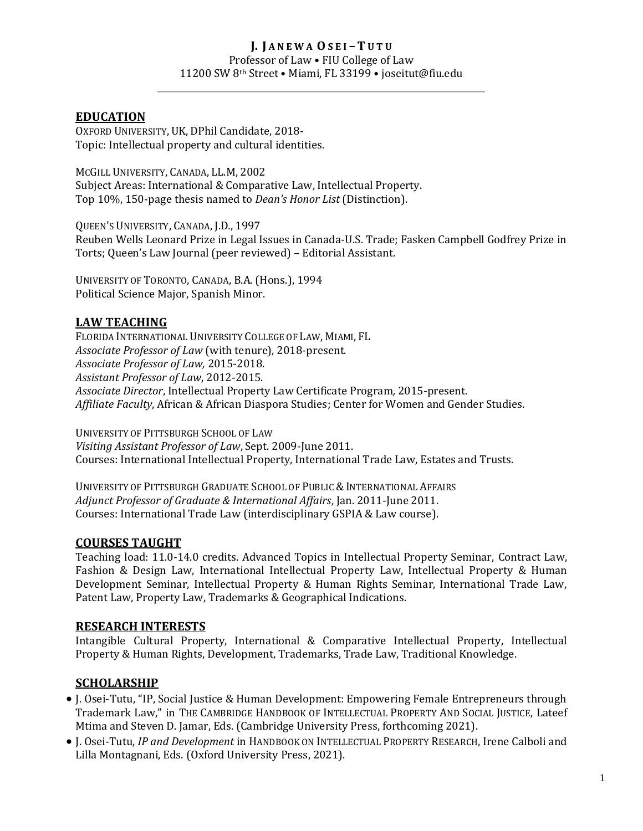#### **J. J A N E W A O S E I – T U T U** Professor of Law • FIU College of Law 11200 SW 8th Street • Miami, FL 33199 • joseitut@fiu.edu

### **EDUCATION**

OXFORD UNIVERSITY, UK, DPhil Candidate, 2018- Topic: Intellectual property and cultural identities.

MCGILL UNIVERSITY, CANADA, LL.M, 2002 Subject Areas: International & Comparative Law, Intellectual Property. Top 10%, 150-page thesis named to *Dean's Honor List* (Distinction).

QUEEN'S UNIVERSITY, CANADA, J.D*.*, 1997 Reuben Wells Leonard Prize in Legal Issues in Canada-U.S. Trade; Fasken Campbell Godfrey Prize in Torts; Queen's Law Journal (peer reviewed) – Editorial Assistant.

UNIVERSITY OF TORONTO, CANADA, B.A. (Hons.), 1994 Political Science Major, Spanish Minor.

#### **LAW TEACHING**

FLORIDA INTERNATIONAL UNIVERSITY COLLEGE OF LAW, MIAMI, FL *Associate Professor of Law* (with tenure), 2018-present. *Associate Professor of Law,* 2015-2018. *Assistant Professor of Law*, 2012-2015. *Associate Director*, Intellectual Property Law Certificate Program*,* 2015-present. *Affiliate Faculty*, African & African Diaspora Studies; Center for Women and Gender Studies.

UNIVERSITY OF PITTSBURGH SCHOOL OF LAW *Visiting Assistant Professor of Law*, Sept. 2009-June 2011. Courses: International Intellectual Property, International Trade Law, Estates and Trusts.

UNIVERSITY OF PITTSBURGH GRADUATE SCHOOL OF PUBLIC & INTERNATIONAL AFFAIRS *Adjunct Professor of Graduate & International Affairs*, Jan. 2011-June 2011. Courses: International Trade Law (interdisciplinary GSPIA & Law course).

#### **COURSES TAUGHT**

Teaching load: 11.0-14.0 credits. Advanced Topics in Intellectual Property Seminar, Contract Law, Fashion & Design Law, International Intellectual Property Law, Intellectual Property & Human Development Seminar, Intellectual Property & Human Rights Seminar, International Trade Law, Patent Law, Property Law, Trademarks & Geographical Indications.

## **RESEARCH INTERESTS**

Intangible Cultural Property, International & Comparative Intellectual Property, Intellectual Property & Human Rights, Development, Trademarks, Trade Law, Traditional Knowledge.

## **SCHOLARSHIP**

- J. Osei-Tutu, "IP, Social Justice & Human Development: Empowering Female Entrepreneurs through Trademark Law," in THE CAMBRIDGE HANDBOOK OF INTELLECTUAL PROPERTY AND SOCIAL JUSTICE, Lateef Mtima and Steven D. Jamar, Eds. (Cambridge University Press, forthcoming 2021).
- J. Osei-Tutu, *IP and Development* in HANDBOOK ON INTELLECTUAL PROPERTY RESEARCH, Irene Calboli and Lilla Montagnani, Eds. (Oxford University Press, 2021).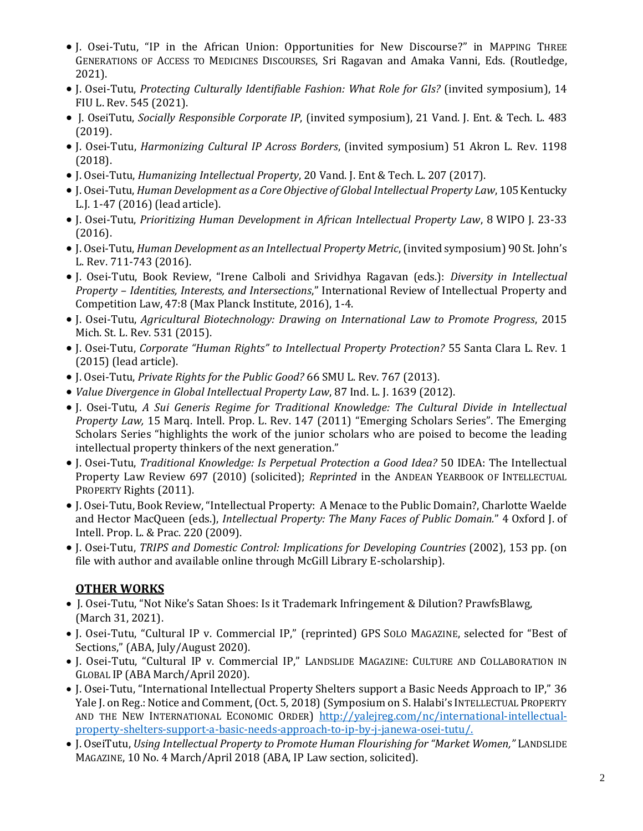- J. Osei-Tutu, "IP in the African Union: Opportunities for New Discourse?" in MAPPING THREE GENERATIONS OF ACCESS TO MEDICINES DISCOURSES, Sri Ragavan and Amaka Vanni, Eds. (Routledge, 2021).
- J. Osei-Tutu, *Protecting Culturally Identifiable Fashion: What Role for GIs?* (invited symposium), 14 FIU L. Rev. 545 (2021).
- J. OseiTutu, *Socially Responsible Corporate IP*, (invited symposium), 21 Vand. J. Ent. & Tech. L. 483 (2019).
- J. Osei-Tutu, *Harmonizing Cultural IP Across Borders*, (invited symposium) 51 Akron L. Rev. 1198 (2018).
- J. Osei-Tutu, *Humanizing Intellectual Property*, 20 Vand. J. Ent & Tech. L. 207 (2017).
- J. Osei-Tutu, *Human Development as a Core Objective of Global Intellectual Property Law*, 105 Kentucky L.J. 1-47 (2016) (lead article).
- J. Osei-Tutu, *Prioritizing Human Development in African Intellectual Property Law*, 8 WIPO J. 23-33 (2016).
- J. Osei-Tutu, *Human Development as an Intellectual Property Metric*, (invited symposium) 90 St. John's L. Rev. 711-743 (2016).
- J. Osei-Tutu, Book Review, "Irene Calboli and Srividhya Ragavan (eds.): *Diversity in Intellectual Property – Identities, Interests, and Intersections*," International Review of Intellectual Property and Competition Law, 47:8 (Max Planck Institute, 2016), 1-4.
- J. Osei-Tutu, *Agricultural Biotechnology: Drawing on International Law to Promote Progress*, 2015 Mich. St. L. Rev. 531 (2015).
- J. Osei-Tutu, *Corporate "Human Rights" to Intellectual Property Protection?* 55 Santa Clara L. Rev. 1 (2015) (lead article).
- J. Osei-Tutu, *Private Rights for the Public Good?* 66 SMU L. Rev. 767 (2013).
- *Value Divergence in Global Intellectual Property Law*, 87 Ind. L. J. 1639 (2012).
- J. Osei-Tutu, *A Sui Generis Regime for Traditional Knowledge: The Cultural Divide in Intellectual Property Law,* 15 Marq. Intell. Prop. L. Rev. 147 (2011) "Emerging Scholars Series". The Emerging Scholars Series "highlights the work of the junior scholars who are poised to become the leading intellectual property thinkers of the next generation."
- J. Osei-Tutu, *Traditional Knowledge: Is Perpetual Protection a Good Idea?* 50 IDEA: The Intellectual Property Law Review 697 (2010) (solicited); *Reprinted* in the ANDEAN YEARBOOK OF INTELLECTUAL PROPERTY Rights (2011).
- J. Osei-Tutu, Book Review, "Intellectual Property: A Menace to the Public Domain?, Charlotte Waelde and Hector MacQueen (eds.), *Intellectual Property: The Many Faces of Public Domain.*" 4 Oxford J. of Intell. Prop. L. & Prac. 220 (2009).
- J. Osei-Tutu, *TRIPS and Domestic Control: Implications for Developing Countries* (2002), 153 pp*.* (on file with author and available online through McGill Library E-scholarship).

# **OTHER WORKS**

- J. Osei-Tutu, "Not Nike's Satan Shoes: Is it Trademark Infringement & Dilution? PrawfsBlawg, (March 31, 2021).
- J. Osei-Tutu, "Cultural IP v. Commercial IP," (reprinted) GPS SOLO MAGAZINE, selected for "Best of Sections," (ABA, July/August 2020).
- J. Osei-Tutu, "Cultural IP v. Commercial IP," LANDSLIDE MAGAZINE: CULTURE AND COLLABORATION IN GLOBAL IP (ABA March/April 2020).
- J. Osei-Tutu, "International Intellectual Property Shelters support a Basic Needs Approach to IP," 36 Yale J. on Reg.: Notice and Comment, (Oct. 5, 2018) (Symposium on S. Halabi's INTELLECTUAL PROPERTY AND THE NEW INTERNATIONAL ECONOMIC ORDER) [http://yalejreg.com/nc/international-intellectual](http://yalejreg.com/nc/international-intellectual-property-shelters-support-a-basic-needs-approach-to-ip-by-j-janewa-osei-tutu/)[property-shelters-support-a-basic-needs-approach-to-ip-by-j-janewa-osei-tutu/.](http://yalejreg.com/nc/international-intellectual-property-shelters-support-a-basic-needs-approach-to-ip-by-j-janewa-osei-tutu/)
- J. OseiTutu, *Using Intellectual Property to Promote Human Flourishing for "Market Women,"* LANDSLIDE MAGAZINE, 10 No. 4 March/April 2018 (ABA, IP Law section, solicited).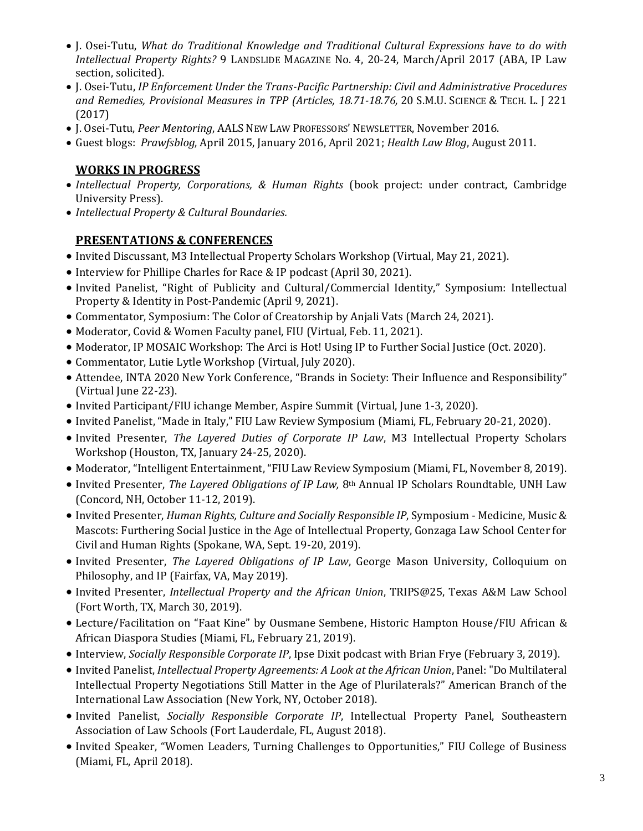- J. Osei-Tutu, *What do Traditional Knowledge and Traditional Cultural Expressions have to do with Intellectual Property Rights?* 9 LANDSLIDE MAGAZINE No. 4, 20-24, March/April 2017 (ABA, IP Law section, solicited).
- J. Osei-Tutu, *IP Enforcement Under the Trans-Pacific Partnership: Civil and Administrative Procedures and Remedies, Provisional Measures in TPP (Articles, 18.71-18.76,* 20 S.M.U. SCIENCE & TECH. L. J 221 (2017)
- J. Osei-Tutu, *Peer Mentoring*, AALS NEW LAW PROFESSORS' NEWSLETTER, November 2016.
- Guest blogs: *Prawfsblog*, April 2015, January 2016, April 2021; *Health Law Blog*, August 2011.

## **WORKS IN PROGRESS**

- *Intellectual Property, Corporations, & Human Rights* (book project: under contract, Cambridge University Press).
- *Intellectual Property & Cultural Boundaries.*

## **PRESENTATIONS & CONFERENCES**

- Invited Discussant, M3 Intellectual Property Scholars Workshop (Virtual, May 21, 2021).
- Interview for Phillipe Charles for Race & IP podcast (April 30, 2021).
- Invited Panelist, "Right of Publicity and Cultural/Commercial Identity," Symposium: Intellectual Property & Identity in Post-Pandemic (April 9, 2021).
- Commentator, Symposium: The Color of Creatorship by Anjali Vats (March 24, 2021).
- Moderator, Covid & Women Faculty panel, FIU (Virtual, Feb. 11, 2021).
- Moderator, IP MOSAIC Workshop: The Arci is Hot! Using IP to Further Social Justice (Oct. 2020).
- Commentator, Lutie Lytle Workshop (Virtual, July 2020).
- Attendee, INTA 2020 New York Conference, "Brands in Society: Their Influence and Responsibility" (Virtual June 22-23).
- Invited Participant/FIU ichange Member, Aspire Summit (Virtual, June 1-3, 2020).
- Invited Panelist, "Made in Italy," FIU Law Review Symposium (Miami, FL, February 20-21, 2020).
- Invited Presenter, *The Layered Duties of Corporate IP Law*, M3 Intellectual Property Scholars Workshop (Houston, TX, January 24-25, 2020).
- Moderator, "Intelligent Entertainment, "FIU Law Review Symposium (Miami, FL, November 8, 2019).
- Invited Presenter, *The Layered Obligations of IP Law,* 8th Annual IP Scholars Roundtable, UNH Law (Concord, NH, October 11-12, 2019).
- Invited Presenter, *Human Rights, Culture and Socially Responsible IP*, Symposium Medicine, Music & Mascots: Furthering Social Justice in the Age of Intellectual Property, Gonzaga Law School Center for Civil and Human Rights (Spokane, WA, Sept. 19-20, 2019).
- Invited Presenter, *The Layered Obligations of IP Law*, George Mason University, Colloquium on Philosophy, and IP (Fairfax, VA, May 2019).
- Invited Presenter, *Intellectual Property and the African Union*, TRIPS@25, Texas A&M Law School (Fort Worth, TX, March 30, 2019).
- Lecture/Facilitation on "Faat Kine" by Ousmane Sembene, Historic Hampton House/FIU African & African Diaspora Studies (Miami, FL, February 21, 2019).
- Interview, *Socially Responsible Corporate IP*, Ipse Dixit podcast with Brian Frye (February 3, 2019).
- Invited Panelist, *Intellectual Property Agreements: A Look at the African Union*, Panel: "Do Multilateral Intellectual Property Negotiations Still Matter in the Age of Plurilaterals?" American Branch of the International Law Association (New York, NY, October 2018).
- Invited Panelist, *Socially Responsible Corporate IP*, Intellectual Property Panel, Southeastern Association of Law Schools (Fort Lauderdale, FL, August 2018).
- Invited Speaker, "Women Leaders, Turning Challenges to Opportunities," FIU College of Business (Miami, FL, April 2018).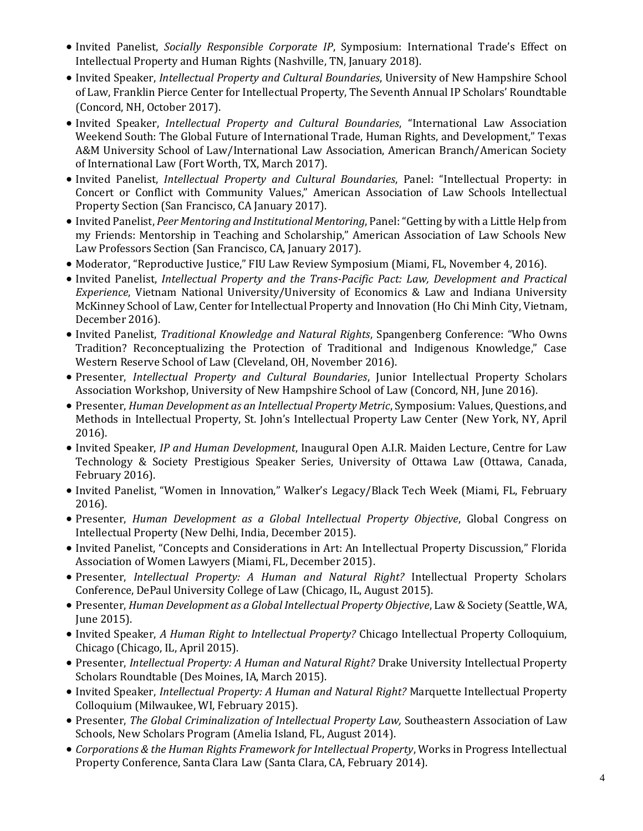- Invited Panelist, *Socially Responsible Corporate IP*, Symposium: International Trade's Effect on Intellectual Property and Human Rights (Nashville, TN, January 2018).
- Invited Speaker, *Intellectual Property and Cultural Boundaries*, University of New Hampshire School of Law, Franklin Pierce Center for Intellectual Property, The Seventh Annual IP Scholars' Roundtable (Concord, NH, October 2017).
- Invited Speaker, *Intellectual Property and Cultural Boundaries*, "International Law Association Weekend South: The Global Future of International Trade, Human Rights, and Development," Texas A&M University School of Law/International Law Association, American Branch/American Society of International Law (Fort Worth, TX, March 2017).
- Invited Panelist, *Intellectual Property and Cultural Boundaries*, Panel: "Intellectual Property: in Concert or Conflict with Community Values," American Association of Law Schools Intellectual Property Section (San Francisco, CA January 2017).
- Invited Panelist, *Peer Mentoring and Institutional Mentoring*, Panel: "Getting by with a Little Help from my Friends: Mentorship in Teaching and Scholarship," American Association of Law Schools New Law Professors Section (San Francisco, CA, January 2017).
- Moderator, "Reproductive Justice," FIU Law Review Symposium (Miami, FL, November 4, 2016).
- Invited Panelist, *Intellectual Property and the Trans-Pacific Pact: Law, Development and Practical Experience*, Vietnam National University/University of Economics & Law and Indiana University McKinney School of Law, Center for Intellectual Property and Innovation (Ho Chi Minh City, Vietnam, December 2016).
- Invited Panelist, *Traditional Knowledge and Natural Rights*, Spangenberg Conference: "Who Owns Tradition? Reconceptualizing the Protection of Traditional and Indigenous Knowledge," Case Western Reserve School of Law (Cleveland, OH, November 2016).
- Presenter, *Intellectual Property and Cultural Boundaries*, Junior Intellectual Property Scholars Association Workshop, University of New Hampshire School of Law (Concord, NH, June 2016).
- Presenter, *Human Development as an Intellectual Property Metric*, Symposium: Values, Questions, and Methods in Intellectual Property, St. John's Intellectual Property Law Center (New York, NY, April 2016).
- Invited Speaker, *IP and Human Development*, Inaugural Open A.I.R. Maiden Lecture, Centre for Law Technology & Society Prestigious Speaker Series, University of Ottawa Law (Ottawa, Canada, February 2016).
- Invited Panelist, "Women in Innovation," Walker's Legacy/Black Tech Week (Miami, FL, February 2016).
- Presenter, *Human Development as a Global Intellectual Property Objective*, Global Congress on Intellectual Property (New Delhi, India, December 2015).
- Invited Panelist, "Concepts and Considerations in Art: An Intellectual Property Discussion," Florida Association of Women Lawyers (Miami, FL, December 2015).
- Presenter, *Intellectual Property: A Human and Natural Right?* Intellectual Property Scholars Conference, DePaul University College of Law (Chicago, IL, August 2015).
- Presenter, *Human Development as a Global Intellectual Property Objective*, Law & Society (Seattle, WA, June 2015).
- Invited Speaker, *A Human Right to Intellectual Property?* Chicago Intellectual Property Colloquium, Chicago (Chicago, IL, April 2015).
- Presenter, *Intellectual Property: A Human and Natural Right?* Drake University Intellectual Property Scholars Roundtable (Des Moines, IA, March 2015).
- Invited Speaker, *Intellectual Property: A Human and Natural Right?* Marquette Intellectual Property Colloquium (Milwaukee, WI, February 2015).
- Presenter, *The Global Criminalization of Intellectual Property Law,* Southeastern Association of Law Schools, New Scholars Program (Amelia Island, FL, August 2014).
- *Corporations & the Human Rights Framework for Intellectual Property*, Works in Progress Intellectual Property Conference, Santa Clara Law (Santa Clara, CA, February 2014).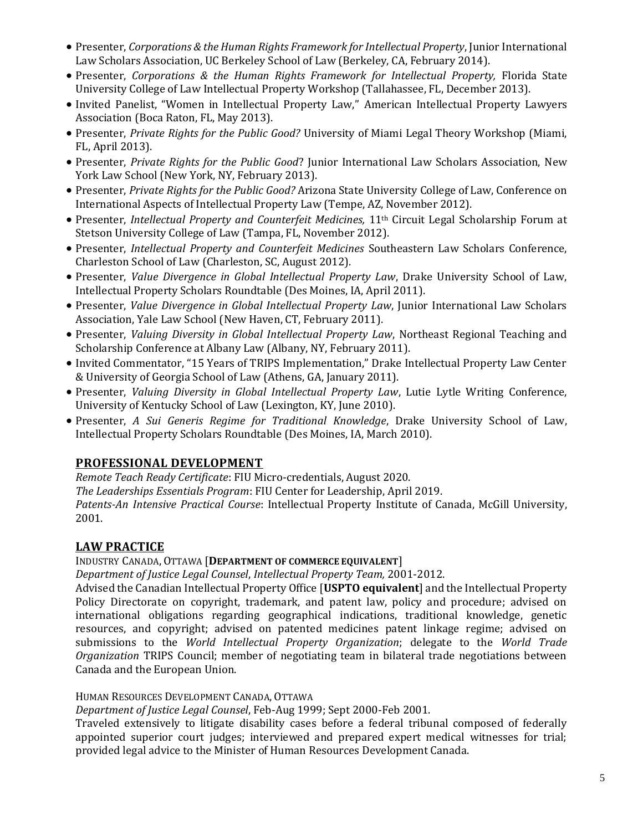- Presenter, *Corporations & the Human Rights Framework for Intellectual Property*, Junior International Law Scholars Association, UC Berkeley School of Law (Berkeley, CA, February 2014).
- Presenter, *Corporations & the Human Rights Framework for Intellectual Property,* Florida State University College of Law Intellectual Property Workshop (Tallahassee, FL, December 2013).
- Invited Panelist, "Women in Intellectual Property Law," American Intellectual Property Lawyers Association (Boca Raton, FL, May 2013).
- Presenter, *Private Rights for the Public Good?* University of Miami Legal Theory Workshop (Miami, FL, April 2013).
- Presenter, *Private Rights for the Public Good*? Junior International Law Scholars Association, New York Law School (New York, NY, February 2013).
- Presenter, *Private Rights for the Public Good?* Arizona State University College of Law, Conference on International Aspects of Intellectual Property Law (Tempe, AZ, November 2012).
- Presenter, *Intellectual Property and Counterfeit Medicines,* 11th Circuit Legal Scholarship Forum at Stetson University College of Law (Tampa, FL, November 2012).
- Presenter, *Intellectual Property and Counterfeit Medicines* Southeastern Law Scholars Conference, Charleston School of Law (Charleston, SC, August 2012).
- Presenter, *Value Divergence in Global Intellectual Property Law*, Drake University School of Law, Intellectual Property Scholars Roundtable (Des Moines, IA, April 2011).
- Presenter, *Value Divergence in Global Intellectual Property Law*, Junior International Law Scholars Association, Yale Law School (New Haven, CT, February 2011).
- Presenter, *Valuing Diversity in Global Intellectual Property Law*, Northeast Regional Teaching and Scholarship Conference at Albany Law (Albany, NY, February 2011).
- Invited Commentator, "15 Years of TRIPS Implementation," Drake Intellectual Property Law Center & University of Georgia School of Law (Athens, GA, January 2011).
- Presenter, *Valuing Diversity in Global Intellectual Property Law*, Lutie Lytle Writing Conference, University of Kentucky School of Law (Lexington, KY, June 2010).
- Presenter, *A Sui Generis Regime for Traditional Knowledge*, Drake University School of Law, Intellectual Property Scholars Roundtable (Des Moines, IA, March 2010).

# **PROFESSIONAL DEVELOPMENT**

*Remote Teach Ready Certificate*: FIU Micro-credentials, August 2020. *The Leaderships Essentials Program*: FIU Center for Leadership, April 2019.

*Patents-An Intensive Practical Course*: Intellectual Property Institute of Canada, McGill University, 2001.

# **LAW PRACTICE**

INDUSTRY CANADA, OTTAWA [**DEPARTMENT OF COMMERCE EQUIVALENT**]

*Department of Justice Legal Counsel*, *Intellectual Property Team,* 2001-2012.

Advised the Canadian Intellectual Property Office [**USPTO equivalent**] and the Intellectual Property Policy Directorate on copyright, trademark, and patent law, policy and procedure; advised on international obligations regarding geographical indications, traditional knowledge, genetic resources, and copyright; advised on patented medicines patent linkage regime; advised on submissions to the *World Intellectual Property Organization*; delegate to the *World Trade Organization* TRIPS Council; member of negotiating team in bilateral trade negotiations between Canada and the European Union.

HUMAN RESOURCES DEVELOPMENT CANADA, OTTAWA

*Department of Justice Legal Counsel*, Feb-Aug 1999; Sept 2000-Feb 2001.

Traveled extensively to litigate disability cases before a federal tribunal composed of federally appointed superior court judges; interviewed and prepared expert medical witnesses for trial; provided legal advice to the Minister of Human Resources Development Canada.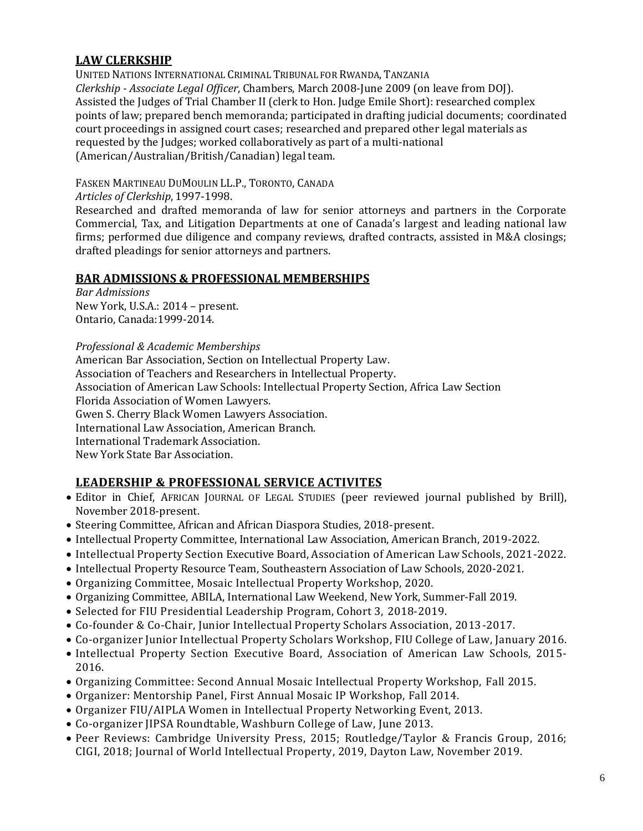# **LAW CLERKSHIP**

UNITED NATIONS INTERNATIONAL CRIMINAL TRIBUNAL FOR RWANDA, TANZANIA *Clerkship - Associate Legal Officer*, Chambers, March 2008-June 2009 (on leave from DOJ). Assisted the Judges of Trial Chamber II (clerk to Hon. Judge Emile Short): researched complex points of law; prepared bench memoranda; participated in drafting judicial documents; coordinated court proceedings in assigned court cases; researched and prepared other legal materials as requested by the Judges; worked collaboratively as part of a multi-national (American/Australian/British/Canadian) legal team.

FASKEN MARTINEAU DUMOULIN LL.P., TORONTO, CANADA

#### *Articles of Clerkship*, 1997-1998.

Researched and drafted memoranda of law for senior attorneys and partners in the Corporate Commercial, Tax, and Litigation Departments at one of Canada's largest and leading national law firms; performed due diligence and company reviews, drafted contracts, assisted in M&A closings; drafted pleadings for senior attorneys and partners.

### **BAR ADMISSIONS & PROFESSIONAL MEMBERSHIPS**

*Bar Admissions*  New York, U.S.A.: 2014 – present. Ontario, Canada:1999-2014.

*Professional & Academic Memberships*

American Bar Association, Section on Intellectual Property Law.

Association of Teachers and Researchers in Intellectual Property.

Association of American Law Schools: Intellectual Property Section, Africa Law Section

Florida Association of Women Lawyers.

Gwen S. Cherry Black Women Lawyers Association.

International Law Association, American Branch.

International Trademark Association.

New York State Bar Association.

## **LEADERSHIP & PROFESSIONAL SERVICE ACTIVITES**

- Editor in Chief, AFRICAN JOURNAL OF LEGAL STUDIES (peer reviewed journal published by Brill), November 2018-present.
- Steering Committee, African and African Diaspora Studies, 2018-present.
- Intellectual Property Committee, International Law Association, American Branch, 2019-2022.
- Intellectual Property Section Executive Board, Association of American Law Schools, 2021-2022.
- Intellectual Property Resource Team, Southeastern Association of Law Schools, 2020-2021.
- Organizing Committee, Mosaic Intellectual Property Workshop, 2020.
- Organizing Committee, ABILA, International Law Weekend, New York, Summer-Fall 2019.
- Selected for FIU Presidential Leadership Program, Cohort 3, 2018-2019.
- Co-founder & Co-Chair, Junior Intellectual Property Scholars Association, 2013-2017.
- Co-organizer Junior Intellectual Property Scholars Workshop, FIU College of Law, January 2016.
- Intellectual Property Section Executive Board, Association of American Law Schools, 2015- 2016.
- Organizing Committee: Second Annual Mosaic Intellectual Property Workshop, Fall 2015.
- Organizer: Mentorship Panel, First Annual Mosaic IP Workshop, Fall 2014.
- Organizer FIU/AIPLA Women in Intellectual Property Networking Event, 2013.
- Co-organizer JIPSA Roundtable, Washburn College of Law, June 2013.
- Peer Reviews: Cambridge University Press, 2015; Routledge/Taylor & Francis Group, 2016; CIGI, 2018; Journal of World Intellectual Property, 2019, Dayton Law, November 2019.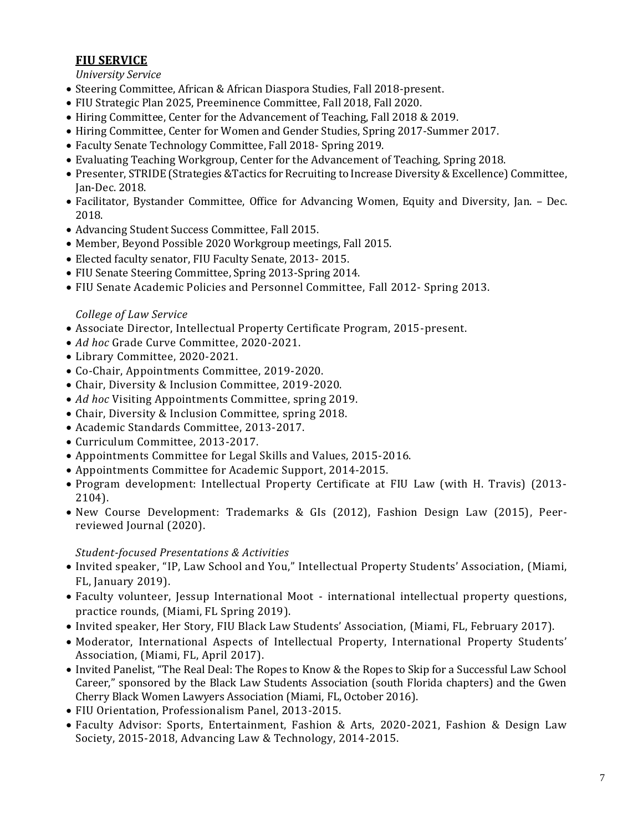# **FIU SERVICE**

#### *University Service*

- Steering Committee, African & African Diaspora Studies, Fall 2018-present.
- FIU Strategic Plan 2025, Preeminence Committee, Fall 2018, Fall 2020.
- Hiring Committee, Center for the Advancement of Teaching, Fall 2018 & 2019.
- Hiring Committee, Center for Women and Gender Studies, Spring 2017-Summer 2017.
- Faculty Senate Technology Committee, Fall 2018- Spring 2019.
- Evaluating Teaching Workgroup, Center for the Advancement of Teaching, Spring 2018.
- Presenter, STRIDE (Strategies &Tactics for Recruiting to Increase Diversity & Excellence) Committee, Jan-Dec. 2018.
- Facilitator, Bystander Committee, Office for Advancing Women, Equity and Diversity, Jan. Dec. 2018.
- Advancing Student Success Committee, Fall 2015.
- Member, Beyond Possible 2020 Workgroup meetings, Fall 2015.
- Elected faculty senator, FIU Faculty Senate, 2013- 2015.
- FIU Senate Steering Committee, Spring 2013-Spring 2014.
- FIU Senate Academic Policies and Personnel Committee, Fall 2012- Spring 2013.

### *College of Law Service*

- Associate Director, Intellectual Property Certificate Program, 2015-present.
- *Ad hoc* Grade Curve Committee, 2020-2021.
- Library Committee, 2020-2021.
- Co-Chair, Appointments Committee, 2019-2020.
- Chair, Diversity & Inclusion Committee, 2019-2020.
- *Ad hoc* Visiting Appointments Committee, spring 2019.
- Chair, Diversity & Inclusion Committee, spring 2018.
- Academic Standards Committee, 2013-2017.
- Curriculum Committee, 2013-2017.
- Appointments Committee for Legal Skills and Values, 2015-2016.
- Appointments Committee for Academic Support, 2014-2015.
- Program development: Intellectual Property Certificate at FIU Law (with H. Travis) (2013- 2104).
- New Course Development: Trademarks & GIs (2012), Fashion Design Law (2015), Peerreviewed Journal (2020).

#### *Student-focused Presentations & Activities*

- Invited speaker, "IP, Law School and You," Intellectual Property Students' Association, (Miami, FL, January 2019).
- Faculty volunteer, Jessup International Moot international intellectual property questions, practice rounds, (Miami, FL Spring 2019).
- Invited speaker, Her Story, FIU Black Law Students' Association, (Miami, FL, February 2017).
- Moderator, International Aspects of Intellectual Property, International Property Students' Association, (Miami, FL, April 2017).
- Invited Panelist, "The Real Deal: The Ropes to Know & the Ropes to Skip for a Successful Law School Career," sponsored by the Black Law Students Association (south Florida chapters) and the Gwen Cherry Black Women Lawyers Association (Miami, FL, October 2016).
- FIU Orientation, Professionalism Panel, 2013-2015.
- Faculty Advisor: Sports, Entertainment, Fashion & Arts, 2020-2021, Fashion & Design Law Society, 2015-2018, Advancing Law & Technology, 2014-2015.